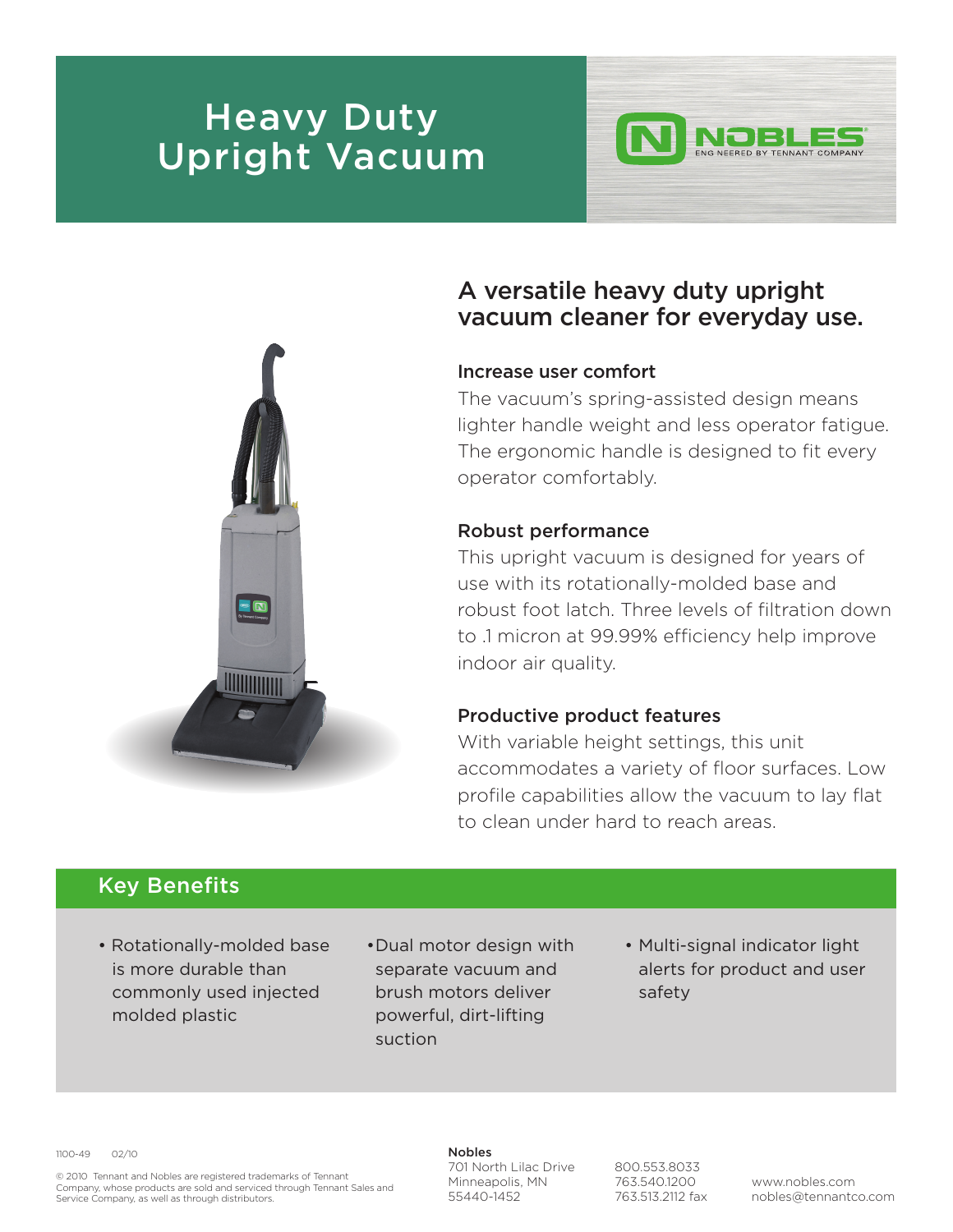# **Heavy Duty** Upright Vacuum



## A versatile heavy duty upright vacuum cleaner for everyday use.

#### Increase user comfort

The vacuum's spring-assisted design means lighter handle weight and less operator fatigue. The ergonomic handle is designed to fit every operator comfortably.

### Robust performance

This upright vacuum is designed for years of use with its rotationally-molded base and robust foot latch. Three levels of filtration down to .1 micron at 99.99% efficiency help improve indoor air quality.

#### Productive product features

With variable height settings, this unit accommodates a variety of floor surfaces. Low profile capabilities allow the vacuum to lay flat to clean under hard to reach areas.

### Key Benefits

- Rotationally-molded base is more durable than commonly used injected molded plastic
- •Dual motor design with separate vacuum and brush motors deliver powerful, dirt-lifting suction
- Multi-signal indicator light alerts for product and user safety

1100-49 02/10

© 2010 Tennant and Nobles are registered trademarks of Tennant Company, whose products are sold and serviced through Tennant Sales and Service Company, as well as through distributors.

#### Nobles

701 North Lilac Drive Minneapolis, MN 55440-1452

800.553.8033 763.540.1200 763.513.2112 fax

www.nobles.com nobles@tennantco.com